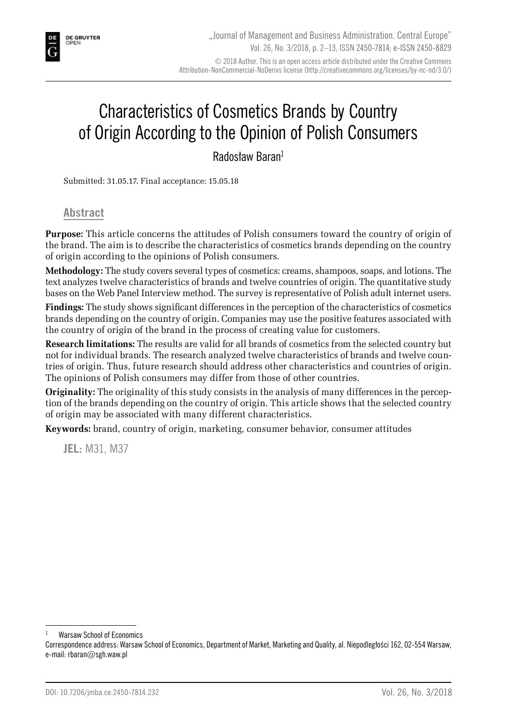# Characteristics of Cosmetics Brands by Country of Origin According to the Opinion of Polish Consumers

Radosław Baran<sup>1</sup>

Submitted: 31.05.17. Final acceptance: 15.05.18

**Abstract**

**Purpose:** This article concerns the attitudes of Polish consumers toward the country of origin of the brand. The aim is to describe the characteristics of cosmetics brands depending on the country of origin according to the opinions of Polish consumers.

**Methodology:** The study covers several types of cosmetics: creams, shampoos, soaps, and lotions. The text analyzes twelve characteristics of brands and twelve countries of origin. The quantitative study bases on the Web Panel Interview method. The survey is representative of Polish adult internet users.

**Findings:** The study shows significant differences in the perception of the characteristics of cosmetics brands depending on the country of origin. Companies may use the positive features associated with the country of origin of the brand in the process of creating value for customers.

**Research limitations:** The results are valid for all brands of cosmetics from the selected country but not for individual brands. The research analyzed twelve characteristics of brands and twelve countries of origin. Thus, future research should address other characteristics and countries of origin. The opinions of Polish consumers may differ from those of other countries.

**Originality:** The originality of this study consists in the analysis of many differences in the perception of the brands depending on the country of origin. This article shows that the selected country of origin may be associated with many different characteristics.

**Keywords:** brand, country of origin, marketing, consumer behavior, consumer attitudes

**JEL:** M31, M37

Warsaw School of Economics

Correspondence address: Warsaw School of Economics, Department of Market, Marketing and Quality, al. Niepodległości 162, 02-554 Warsaw, e-mail: rbaran@sgh.waw.pl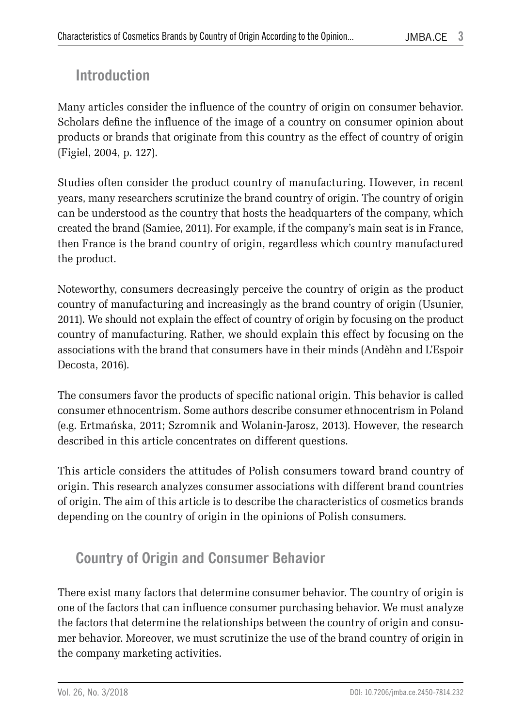## **Introduction**

Many articles consider the influence of the country of origin on consumer behavior. Scholars define the influence of the image of a country on consumer opinion about products or brands that originate from this country as the effect of country of origin (Figiel, 2004, p. 127).

Studies often consider the product country of manufacturing. However, in recent years, many researchers scrutinize the brand country of origin. The country of origin can be understood as the country that hosts the headquarters of the company, which created the brand (Samiee, 2011). For example, if the company's main seat is in France, then France is the brand country of origin, regardless which country manufactured the product.

Noteworthy, consumers decreasingly perceive the country of origin as the product country of manufacturing and increasingly as the brand country of origin (Usunier, 2011). We should not explain the effect of country of origin by focusing on the product country of manufacturing. Rather, we should explain this effect by focusing on the associations with the brand that consumers have in their minds (Andèhn and L'Espoir Decosta, 2016).

The consumers favor the products of specific national origin. This behavior is called consumer ethnocentrism. Some authors describe consumer ethnocentrism in Poland (e.g. Ertmańska, 2011; Szromnik and Wolanin-Jarosz, 2013). However, the research described in this article concentrates on different questions.

This article considers the attitudes of Polish consumers toward brand country of origin. This research analyzes consumer associations with different brand countries of origin. The aim of this article is to describe the characteristics of cosmetics brands depending on the country of origin in the opinions of Polish consumers.

# **Country of Origin and Consumer Behavior**

There exist many factors that determine consumer behavior. The country of origin is one of the factors that can influence consumer purchasing behavior. We must analyze the factors that determine the relationships between the country of origin and consumer behavior. Moreover, we must scrutinize the use of the brand country of origin in the company marketing activities.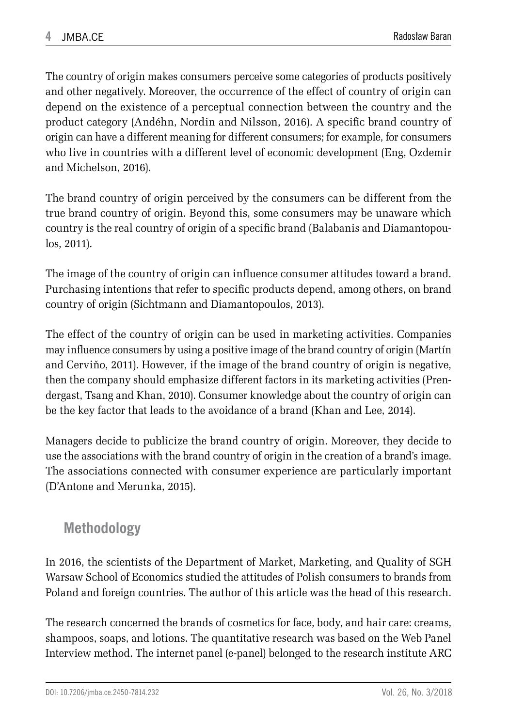The country of origin makes consumers perceive some categories of products positively and other negatively. Moreover, the occurrence of the effect of country of origin can depend on the existence of a perceptual connection between the country and the product category (Andéhn, Nordin and Nilsson, 2016). A specific brand country of origin can have a different meaning for different consumers; for example, for consumers who live in countries with a different level of economic development (Eng, Ozdemir and Michelson, 2016).

The brand country of origin perceived by the consumers can be different from the true brand country of origin. Beyond this, some consumers may be unaware which country is the real country of origin of a specific brand (Balabanis and Diamantopoulos, 2011).

The image of the country of origin can influence consumer attitudes toward a brand. Purchasing intentions that refer to specific products depend, among others, on brand country of origin (Sichtmann and Diamantopoulos, 2013).

The effect of the country of origin can be used in marketing activities. Companies may influence consumers by using a positive image of the brand country of origin (Martín and Cerviňo, 2011). However, if the image of the brand country of origin is negative, then the company should emphasize different factors in its marketing activities (Prendergast, Tsang and Khan, 2010). Consumer knowledge about the country of origin can be the key factor that leads to the avoidance of a brand (Khan and Lee, 2014).

Managers decide to publicize the brand country of origin. Moreover, they decide to use the associations with the brand country of origin in the creation of a brand's image. The associations connected with consumer experience are particularly important (D'Antone and Merunka, 2015).

### **Methodology**

In 2016, the scientists of the Department of Market, Marketing, and Quality of SGH Warsaw School of Economics studied the attitudes of Polish consumers to brands from Poland and foreign countries. The author of this article was the head of this research.

The research concerned the brands of cosmetics for face, body, and hair care: creams, shampoos, soaps, and lotions. The quantitative research was based on the Web Panel Interview method. The internet panel (e-panel) belonged to the research institute ARC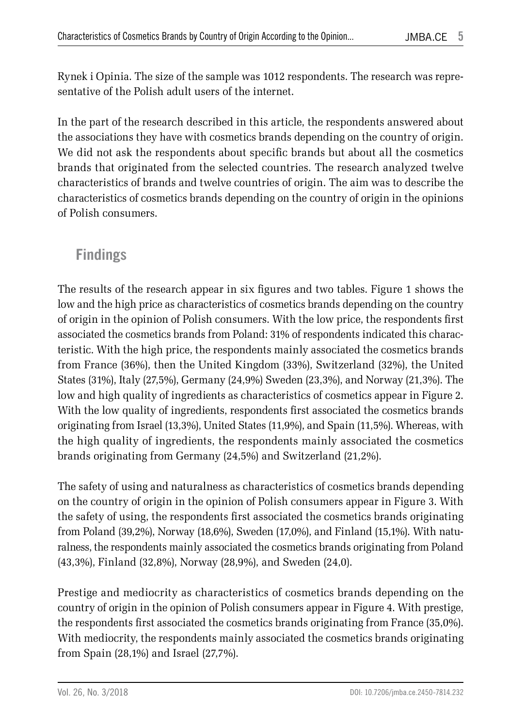Rynek i Opinia. The size of the sample was 1012 respondents. The research was representative of the Polish adult users of the internet.

In the part of the research described in this article, the respondents answered about the associations they have with cosmetics brands depending on the country of origin. We did not ask the respondents about specific brands but about all the cosmetics brands that originated from the selected countries. The research analyzed twelve characteristics of brands and twelve countries of origin. The aim was to describe the characteristics of cosmetics brands depending on the country of origin in the opinions of Polish consumers.

### **Findings**

The results of the research appear in six figures and two tables. Figure 1 shows the low and the high price as characteristics of cosmetics brands depending on the country of origin in the opinion of Polish consumers. With the low price, the respondents first associated the cosmetics brands from Poland: 31% of respondents indicated this characteristic. With the high price, the respondents mainly associated the cosmetics brands from France (36%), then the United Kingdom (33%), Switzerland (32%), the United States (31%), Italy (27,5%), Germany (24,9%) Sweden (23,3%), and Norway (21,3%). The low and high quality of ingredients as characteristics of cosmetics appear in Figure 2. With the low quality of ingredients, respondents first associated the cosmetics brands originating from Israel (13,3%), United States (11,9%), and Spain (11,5%). Whereas, with the high quality of ingredients, the respondents mainly associated the cosmetics brands originating from Germany (24,5%) and Switzerland (21,2%).

The safety of using and naturalness as characteristics of cosmetics brands depending on the country of origin in the opinion of Polish consumers appear in Figure 3. With the safety of using, the respondents first associated the cosmetics brands originating from Poland (39,2%), Norway (18,6%), Sweden (17,0%), and Finland (15,1%). With naturalness, the respondents mainly associated the cosmetics brands originating from Poland (43,3%), Finland (32,8%), Norway (28,9%), and Sweden (24,0).

Prestige and mediocrity as characteristics of cosmetics brands depending on the country of origin in the opinion of Polish consumers appear in Figure 4. With prestige, the respondents first associated the cosmetics brands originating from France (35,0%). With mediocrity, the respondents mainly associated the cosmetics brands originating from Spain (28,1%) and Israel (27,7%).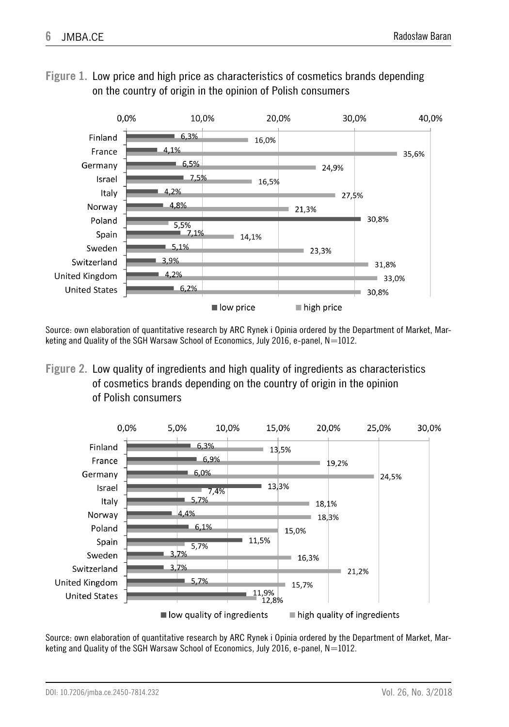

**Figure 1.** Low price and high price as characteristics of cosmetics brands depending on the country of origin in the opinion of Polish consumers

Source: own elaboration of quantitative research by ARC Rynek i Opinia ordered by the Department of Market, Marketing and Quality of the SGH Warsaw School of Economics, July 2016, e-panel,  $N=1012$ .

**Figure 2.** Low quality of ingredients and high quality of ingredients as characteristics of cosmetics brands depending on the country of origin in the opinion of Polish consumers



Source: own elaboration of quantitative research by ARC Rynek i Opinia ordered by the Department of Market, Marketing and Quality of the SGH Warsaw School of Economics, July 2016, e-panel,  $N=1012$ .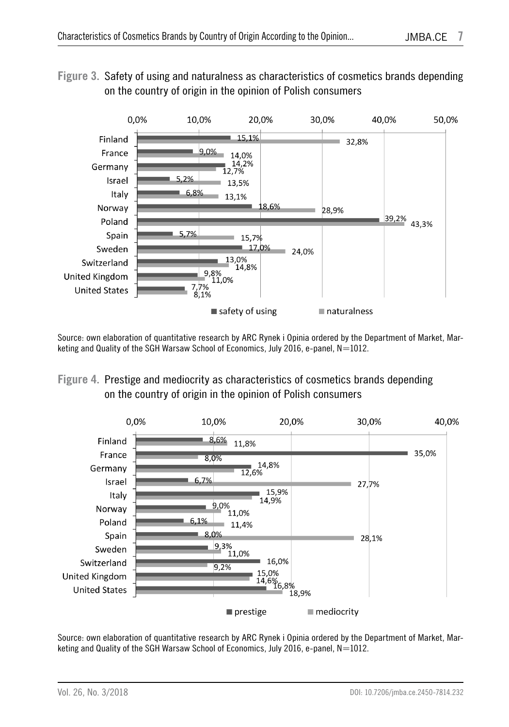#### **Figure 3.** Safety of using and naturalness as characteristics of cosmetics brands depending on the country of origin in the opinion of Polish consumers



Source: own elaboration of quantitative research by ARC Rynek i Opinia ordered by the Department of Market, Marketing and Quality of the SGH Warsaw School of Economics, July 2016, e-panel,  $N=1012$ .

#### **Figure 4.** Prestige and mediocrity as characteristics of cosmetics brands depending on the country of origin in the opinion of Polish consumers



Source: own elaboration of quantitative research by ARC Rynek i Opinia ordered by the Department of Market, Marketing and Quality of the SGH Warsaw School of Economics, July 2016, e-panel,  $N=1012$ .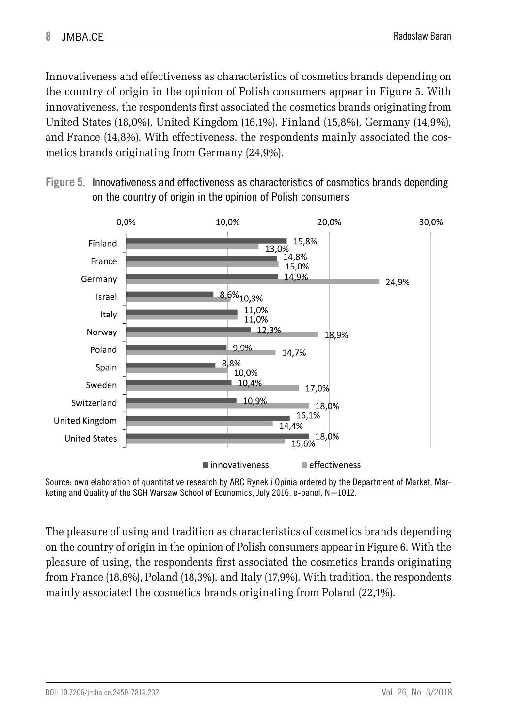Innovativeness and effectiveness as characteristics of cosmetics brands depending on the country of origin in the opinion of Polish consumers appear in Figure 5. With innovativeness, the respondents first associated the cosmetics brands originating from United States (18,0%), United Kingdom (16,1%), Finland (15,8%), Germany (14,9%), and France (14,8%). With effectiveness, the respondents mainly associated the cosmetics brands originating from Germany (24,9%).





Source: own elaboration of quantitative research by ARC Rynek i Opinia ordered by the Department of Market, Marketing and Quality of the SGH Warsaw School of Economics, July 2016, e-panel,  $N=1012$ .

The pleasure of using and tradition as characteristics of cosmetics brands depending on the country of origin in the opinion of Polish consumers appear in Figure 6. With the pleasure of using, the respondents first associated the cosmetics brands originating from France (18,6%), Poland (18,3%), and Italy (17,9%). With tradition, the respondents mainly associated the cosmetics brands originating from Poland (22,1%).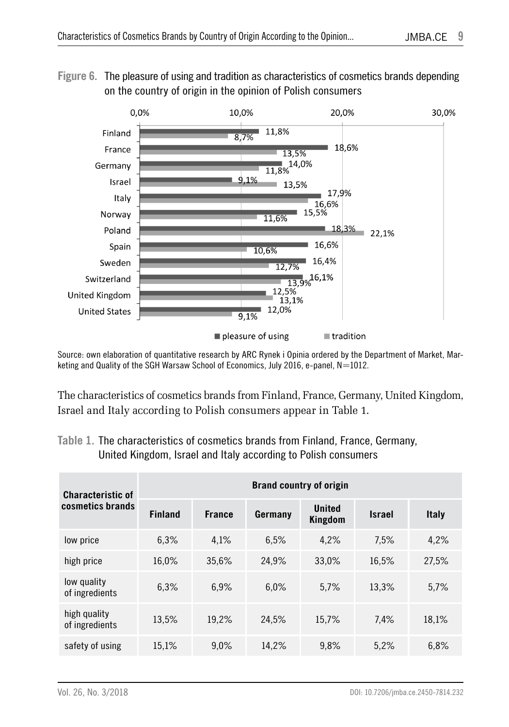



Source: own elaboration of quantitative research by ARC Rynek i Opinia ordered by the Department of Market, Marketing and Quality of the SGH Warsaw School of Economics, July 2016, e-panel,  $N=1012$ .

The characteristics of cosmetics brands from Finland, France, Germany, United Kingdom, Israel and Italy according to Polish consumers appear in Table 1.

#### **Table 1.** The characteristics of cosmetics brands from Finland, France, Germany, United Kingdom, Israel and Italy according to Polish consumers

| <b>Characteristic of</b><br>cosmetics brands | <b>Brand country of origin</b> |               |         |                          |               |              |  |
|----------------------------------------------|--------------------------------|---------------|---------|--------------------------|---------------|--------------|--|
|                                              | <b>Finland</b>                 | <b>France</b> | Germany | <b>United</b><br>Kingdom | <b>Israel</b> | <b>Italy</b> |  |
| low price                                    | 6.3%                           | 4.1%          | 6.5%    | 4.2%                     | 7.5%          | 4,2%         |  |
| high price                                   | 16,0%                          | 35,6%         | 24,9%   | 33,0%                    | 16.5%         | 27,5%        |  |
| low quality<br>of ingredients                | 6.3%                           | 6,9%          | 6.0%    | 5,7%                     | 13.3%         | 5.7%         |  |
| high quality<br>of ingredients               | 13.5%                          | 19,2%         | 24,5%   | 15.7%                    | 7.4%          | 18.1%        |  |
| safety of using                              | 15,1%                          | 9.0%          | 14,2%   | 9.8%                     | 5,2%          | 6.8%         |  |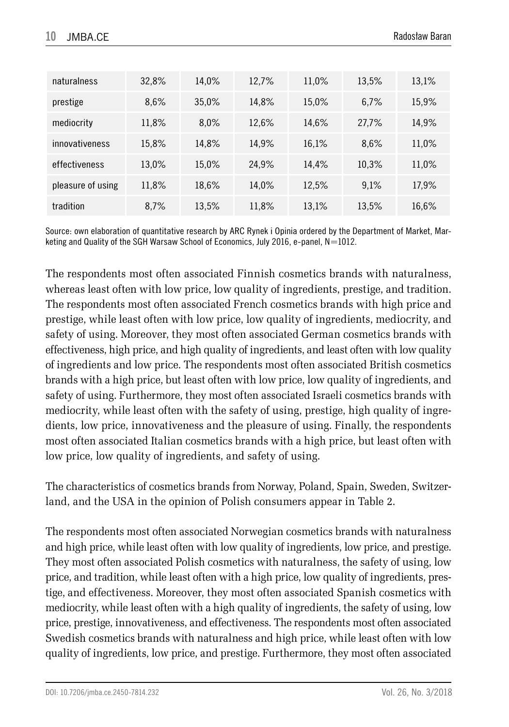| naturalness       | 32,8% | 14.0% | 12,7% | 11.0% | 13.5% | 13,1% |
|-------------------|-------|-------|-------|-------|-------|-------|
| prestige          | 8.6%  | 35,0% | 14.8% | 15,0% | 6.7%  | 15,9% |
| mediocrity        | 11.8% | 8.0%  | 12,6% | 14.6% | 27.7% | 14.9% |
| innovativeness    | 15,8% | 14.8% | 14.9% | 16,1% | 8.6%  | 11,0% |
| effectiveness     | 13.0% | 15.0% | 24,9% | 14.4% | 10.3% | 11,0% |
| pleasure of using | 11,8% | 18.6% | 14.0% | 12.5% | 9.1%  | 17.9% |
| tradition         | 8.7%  | 13.5% | 11,8% | 13,1% | 13.5% | 16.6% |

Source: own elaboration of quantitative research by ARC Rynek i Opinia ordered by the Department of Market, Marketing and Quality of the SGH Warsaw School of Economics, July 2016, e-panel,  $N=1012$ .

The respondents most often associated Finnish cosmetics brands with naturalness, whereas least often with low price, low quality of ingredients, prestige, and tradition. The respondents most often associated French cosmetics brands with high price and prestige, while least often with low price, low quality of ingredients, mediocrity, and safety of using. Moreover, they most often associated German cosmetics brands with effectiveness, high price, and high quality of ingredients, and least often with low quality of ingredients and low price. The respondents most often associated British cosmetics brands with a high price, but least often with low price, low quality of ingredients, and safety of using. Furthermore, they most often associated Israeli cosmetics brands with mediocrity, while least often with the safety of using, prestige, high quality of ingredients, low price, innovativeness and the pleasure of using. Finally, the respondents most often associated Italian cosmetics brands with a high price, but least often with low price, low quality of ingredients, and safety of using.

The characteristics of cosmetics brands from Norway, Poland, Spain, Sweden, Switzerland, and the USA in the opinion of Polish consumers appear in Table 2.

The respondents most often associated Norwegian cosmetics brands with naturalness and high price, while least often with low quality of ingredients, low price, and prestige. They most often associated Polish cosmetics with naturalness, the safety of using, low price, and tradition, while least often with a high price, low quality of ingredients, prestige, and effectiveness. Moreover, they most often associated Spanish cosmetics with mediocrity, while least often with a high quality of ingredients, the safety of using, low price, prestige, innovativeness, and effectiveness. The respondents most often associated Swedish cosmetics brands with naturalness and high price, while least often with low quality of ingredients, low price, and prestige. Furthermore, they most often associated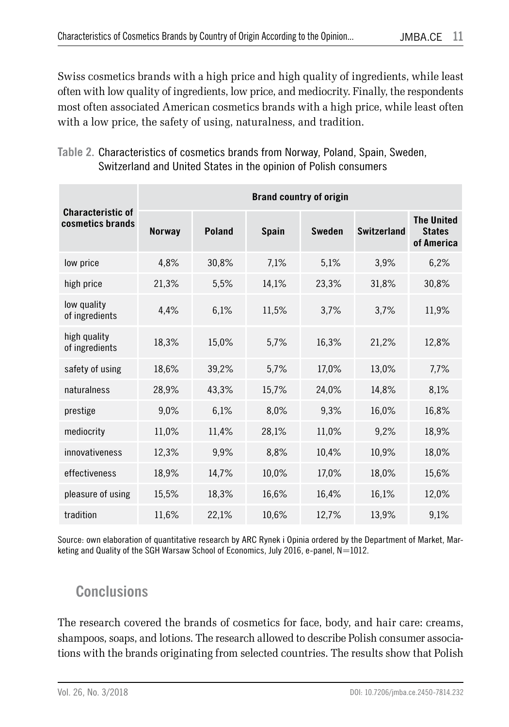Swiss cosmetics brands with a high price and high quality of ingredients, while least often with low quality of ingredients, low price, and mediocrity. Finally, the respondents most often associated American cosmetics brands with a high price, while least often with a low price, the safety of using, naturalness, and tradition.

**Table 2.** Characteristics of cosmetics brands from Norway, Poland, Spain, Sweden, Switzerland and United States in the opinion of Polish consumers

| <b>Characteristic of</b><br>cosmetics brands | <b>Brand country of origin</b> |               |              |               |                    |                                                  |  |
|----------------------------------------------|--------------------------------|---------------|--------------|---------------|--------------------|--------------------------------------------------|--|
|                                              | <b>Norway</b>                  | <b>Poland</b> | <b>Spain</b> | <b>Sweden</b> | <b>Switzerland</b> | <b>The United</b><br><b>States</b><br>of America |  |
| low price                                    | 4.8%                           | 30,8%         | 7,1%         | 5,1%          | 3,9%               | 6,2%                                             |  |
| high price                                   | 21,3%                          | 5,5%          | 14,1%        | 23,3%         | 31,8%              | 30,8%                                            |  |
| low quality<br>of ingredients                | 4,4%                           | 6,1%          | 11,5%        | 3,7%          | 3,7%               | 11.9%                                            |  |
| high quality<br>of ingredients               | 18,3%                          | 15,0%         | 5,7%         | 16,3%         | 21,2%              | 12,8%                                            |  |
| safety of using                              | 18,6%                          | 39,2%         | 5,7%         | 17.0%         | 13,0%              | 7,7%                                             |  |
| naturalness                                  | 28,9%                          | 43,3%         | 15,7%        | 24,0%         | 14,8%              | 8,1%                                             |  |
| prestige                                     | 9,0%                           | 6,1%          | 8,0%         | 9,3%          | 16,0%              | 16,8%                                            |  |
| mediocrity                                   | 11,0%                          | 11,4%         | 28,1%        | 11,0%         | 9,2%               | 18,9%                                            |  |
| innovativeness                               | 12,3%                          | 9,9%          | 8,8%         | 10,4%         | 10,9%              | 18,0%                                            |  |
| effectiveness                                | 18,9%                          | 14,7%         | 10,0%        | 17,0%         | 18,0%              | 15,6%                                            |  |
| pleasure of using                            | 15,5%                          | 18,3%         | 16,6%        | 16,4%         | 16,1%              | 12,0%                                            |  |
| tradition                                    | 11,6%                          | 22,1%         | 10.6%        | 12.7%         | 13.9%              | 9,1%                                             |  |

Source: own elaboration of quantitative research by ARC Rynek i Opinia ordered by the Department of Market, Marketing and Quality of the SGH Warsaw School of Economics, July 2016, e-panel, N=1012.

## **Conclusions**

The research covered the brands of cosmetics for face, body, and hair care: creams, shampoos, soaps, and lotions. The research allowed to describe Polish consumer associations with the brands originating from selected countries. The results show that Polish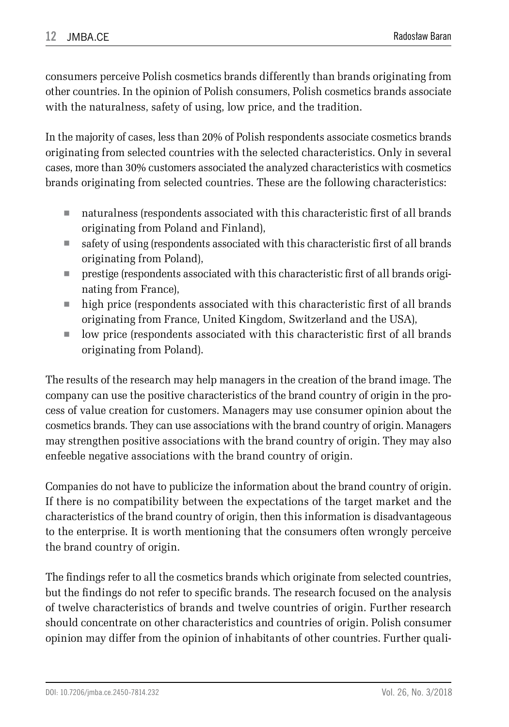consumers perceive Polish cosmetics brands differently than brands originating from other countries. In the opinion of Polish consumers, Polish cosmetics brands associate with the naturalness, safety of using, low price, and the tradition.

In the majority of cases, less than 20% of Polish respondents associate cosmetics brands originating from selected countries with the selected characteristics. Only in several cases, more than 30% customers associated the analyzed characteristics with cosmetics brands originating from selected countries. These are the following characteristics:

- naturalness (respondents associated with this characteristic first of all brands originating from Poland and Finland),
- $\blacksquare$  safety of using (respondents associated with this characteristic first of all brands originating from Poland),
- prestige (respondents associated with this characteristic first of all brands originating from France),
- high price (respondents associated with this characteristic first of all brands originating from France, United Kingdom, Switzerland and the USA),
- $\blacksquare$  low price (respondents associated with this characteristic first of all brands originating from Poland).

The results of the research may help managers in the creation of the brand image. The company can use the positive characteristics of the brand country of origin in the process of value creation for customers. Managers may use consumer opinion about the cosmetics brands. They can use associations with the brand country of origin. Managers may strengthen positive associations with the brand country of origin. They may also enfeeble negative associations with the brand country of origin.

Companies do not have to publicize the information about the brand country of origin. If there is no compatibility between the expectations of the target market and the characteristics of the brand country of origin, then this information is disadvantageous to the enterprise. It is worth mentioning that the consumers often wrongly perceive the brand country of origin.

The findings refer to all the cosmetics brands which originate from selected countries, but the findings do not refer to specific brands. The research focused on the analysis of twelve characteristics of brands and twelve countries of origin. Further research should concentrate on other characteristics and countries of origin. Polish consumer opinion may differ from the opinion of inhabitants of other countries. Further quali